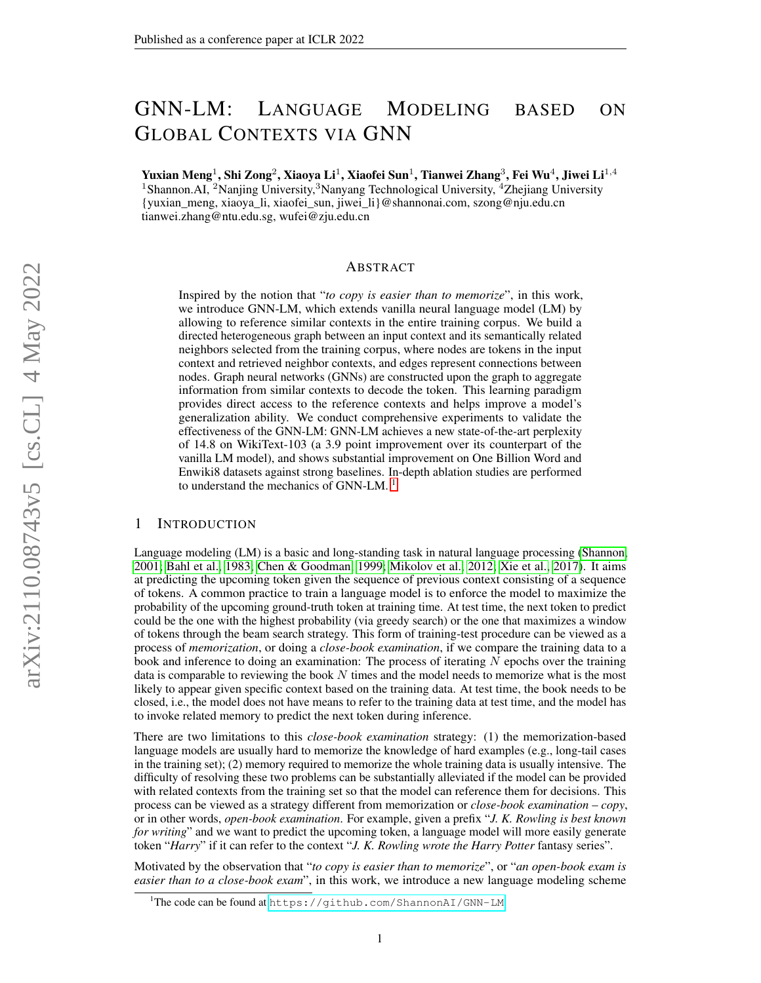# GNN-LM: LANGUAGE MODELING BASED ON GLOBAL CONTEXTS VIA GNN

Yuxian Meng $^1$ , Shi Zong $^2$ , Xiaoya Li $^1$ , Xiaofei Sun $^1$ , Tianwei Zhang $^3$ , Fei Wu $^4$ , Jiwei Li $^{1,4}$ <sup>1</sup>Shannon.AI, <sup>2</sup>Nanjing University,<sup>3</sup>Nanyang Technological University, <sup>4</sup>Zhejiang University {yuxian\_meng, xiaoya\_li, xiaofei\_sun, jiwei\_li}@shannonai.com, szong@nju.edu.cn tianwei.zhang@ntu.edu.sg, wufei@zju.edu.cn

## ABSTRACT

Inspired by the notion that "*to copy is easier than to memorize*", in this work, we introduce GNN-LM, which extends vanilla neural language model (LM) by allowing to reference similar contexts in the entire training corpus. We build a directed heterogeneous graph between an input context and its semantically related neighbors selected from the training corpus, where nodes are tokens in the input context and retrieved neighbor contexts, and edges represent connections between nodes. Graph neural networks (GNNs) are constructed upon the graph to aggregate information from similar contexts to decode the token. This learning paradigm provides direct access to the reference contexts and helps improve a model's generalization ability. We conduct comprehensive experiments to validate the effectiveness of the GNN-LM: GNN-LM achieves a new state-of-the-art perplexity of 14.8 on WikiText-103 (a 3.9 point improvement over its counterpart of the vanilla LM model), and shows substantial improvement on One Billion Word and Enwiki8 datasets against strong baselines. In-depth ablation studies are performed to understand the mechanics of GNN-LM.<sup>[1](#page-0-0)</sup>

## 1 INTRODUCTION

Language modeling (LM) is a basic and long-standing task in natural language processing [\(Shannon,](#page-11-0) [2001;](#page-11-0) [Bahl et al., 1983;](#page-9-0) [Chen & Goodman, 1999;](#page-9-1) [Mikolov et al., 2012;](#page-11-1) [Xie et al., 2017\)](#page-12-0). It aims at predicting the upcoming token given the sequence of previous context consisting of a sequence of tokens. A common practice to train a language model is to enforce the model to maximize the probability of the upcoming ground-truth token at training time. At test time, the next token to predict could be the one with the highest probability (via greedy search) or the one that maximizes a window of tokens through the beam search strategy. This form of training-test procedure can be viewed as a process of *memorization*, or doing a *close-book examination*, if we compare the training data to a book and inference to doing an examination: The process of iterating  $N$  epochs over the training data is comparable to reviewing the book  $N$  times and the model needs to memorize what is the most likely to appear given specific context based on the training data. At test time, the book needs to be closed, i.e., the model does not have means to refer to the training data at test time, and the model has to invoke related memory to predict the next token during inference.

There are two limitations to this *close-book examination* strategy: (1) the memorization-based language models are usually hard to memorize the knowledge of hard examples (e.g., long-tail cases in the training set); (2) memory required to memorize the whole training data is usually intensive. The difficulty of resolving these two problems can be substantially alleviated if the model can be provided with related contexts from the training set so that the model can reference them for decisions. This process can be viewed as a strategy different from memorization or *close-book examination* – *copy*, or in other words, *open-book examination*. For example, given a prefix "*J. K. Rowling is best known for writing*" and we want to predict the upcoming token, a language model will more easily generate token "*Harry*" if it can refer to the context "*J. K. Rowling wrote the Harry Potter* fantasy series".

Motivated by the observation that "*to copy is easier than to memorize*", or "*an open-book exam is easier than to a close-book exam*", in this work, we introduce a new language modeling scheme

<span id="page-0-0"></span><sup>&</sup>lt;sup>1</sup>The code can be found at <https://github.com/ShannonAI/GNN-LM>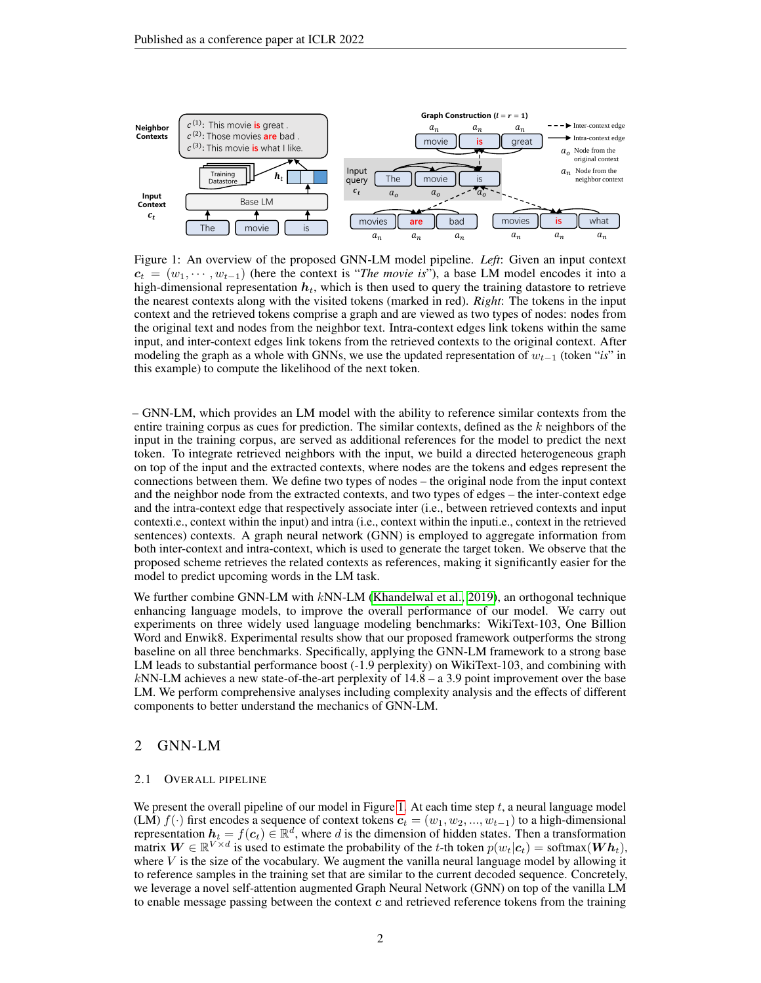

<span id="page-1-0"></span>Figure 1: An overview of the proposed GNN-LM model pipeline. *Left*: Given an input context  $c_t = (w_1, \dots, w_{t-1})$  (here the context is "*The movie is*"), a base LM model encodes it into a high-dimensional representation  $h_t$ , which is then used to query the training datastore to retrieve the nearest contexts along with the visited tokens (marked in red). *Right*: The tokens in the input context and the retrieved tokens comprise a graph and are viewed as two types of nodes: nodes from the original text and nodes from the neighbor text. Intra-context edges link tokens within the same input, and inter-context edges link tokens from the retrieved contexts to the original context. After modeling the graph as a whole with GNNs, we use the updated representation of  $w_{t-1}$  (token "*is*" in this example) to compute the likelihood of the next token.

– GNN-LM, which provides an LM model with the ability to reference similar contexts from the entire training corpus as cues for prediction. The similar contexts, defined as the  $k$  neighbors of the input in the training corpus, are served as additional references for the model to predict the next token. To integrate retrieved neighbors with the input, we build a directed heterogeneous graph on top of the input and the extracted contexts, where nodes are the tokens and edges represent the connections between them. We define two types of nodes – the original node from the input context and the neighbor node from the extracted contexts, and two types of edges – the inter-context edge and the intra-context edge that respectively associate inter (i.e., between retrieved contexts and input contexti.e., context within the input) and intra (i.e., context within the inputi.e., context in the retrieved sentences) contexts. A graph neural network (GNN) is employed to aggregate information from both inter-context and intra-context, which is used to generate the target token. We observe that the proposed scheme retrieves the related contexts as references, making it significantly easier for the model to predict upcoming words in the LM task.

We further combine GNN-LM with  $kNN-LM$  [\(Khandelwal et al., 2019\)](#page-10-0), an orthogonal technique enhancing language models, to improve the overall performance of our model. We carry out experiments on three widely used language modeling benchmarks: WikiText-103, One Billion Word and Enwik8. Experimental results show that our proposed framework outperforms the strong baseline on all three benchmarks. Specifically, applying the GNN-LM framework to a strong base LM leads to substantial performance boost (-1.9 perplexity) on WikiText-103, and combining with  $kNN-LM$  achieves a new state-of-the-art perplexity of  $14.8 - a$  3.9 point improvement over the base LM. We perform comprehensive analyses including complexity analysis and the effects of different components to better understand the mechanics of GNN-LM.

## 2 GNN-LM

#### 2.1 OVERALL PIPELINE

We present the overall pipeline of our model in Figure [1.](#page-1-0) At each time step  $t$ , a neural language model (LM)  $f(\cdot)$  first encodes a sequence of context tokens  $c_t = (w_1, w_2, ..., w_{t-1})$  to a high-dimensional representation  $h_t = f(c_t) \in \mathbb{R}^d$ , where d is the dimension of hidden states. Then a transformation matrix  $W \in \mathbb{R}^{V \times d}$  is used to estimate the probability of the t-th token  $p(w_t|c_t) = \text{softmax}(Wh_t)$ , where  $V$  is the size of the vocabulary. We augment the vanilla neural language model by allowing it to reference samples in the training set that are similar to the current decoded sequence. Concretely, we leverage a novel self-attention augmented Graph Neural Network (GNN) on top of the vanilla LM to enable message passing between the context  $c$  and retrieved reference tokens from the training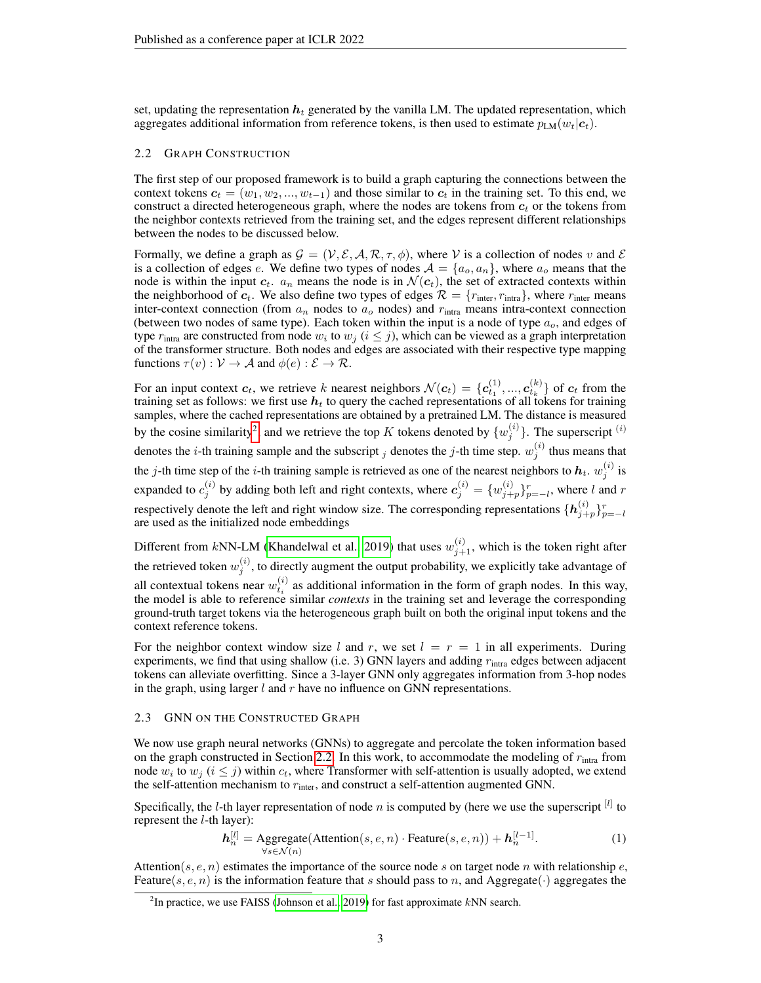set, updating the representation  $h_t$  generated by the vanilla LM. The updated representation, which aggregates additional information from reference tokens, is then used to estimate  $p_{LM}(w_t|c_t)$ .

## <span id="page-2-1"></span>2.2 GRAPH CONSTRUCTION

The first step of our proposed framework is to build a graph capturing the connections between the context tokens  $c_t = (w_1, w_2, ..., w_{t-1})$  and those similar to  $c_t$  in the training set. To this end, we construct a directed heterogeneous graph, where the nodes are tokens from  $c_t$  or the tokens from the neighbor contexts retrieved from the training set, and the edges represent different relationships between the nodes to be discussed below.

Formally, we define a graph as  $\mathcal{G} = (\mathcal{V}, \mathcal{E}, \mathcal{A}, \mathcal{R}, \tau, \phi)$ , where V is a collection of nodes v and  $\mathcal{E}$ is a collection of edges e. We define two types of nodes  $A = \{a_o, a_n\}$ , where  $a_o$  means that the node is within the input  $c_t$ .  $a_n$  means the node is in  $\mathcal{N}(c_t)$ , the set of extracted contexts within the neighborhood of  $c_t$ . We also define two types of edges  $\mathcal{R} = \{r_{\text{inter}}, r_{\text{intra}}\}$ , where  $r_{\text{inter}}$  means inter-context connection (from  $a_n$  nodes to  $a_o$  nodes) and  $r_{intra}$  means intra-context connection (between two nodes of same type). Each token within the input is a node of type  $a<sub>o</sub>$ , and edges of type  $r_{\text{intra}}$  are constructed from node  $w_i$  to  $w_j$  ( $i \leq j$ ), which can be viewed as a graph interpretation of the transformer structure. Both nodes and edges are associated with their respective type mapping functions  $\tau(v): V \to A$  and  $\phi(e): \mathcal{E} \to \mathcal{R}$ .

For an input context  $c_t$ , we retrieve k nearest neighbors  $\mathcal{N}(c_t) = \{c_{t_1}^{(1)},...,c_{t_k}^{(k)}\}$  of  $c_t$  from the training set as follows: we first use  $h_t$  to query the cached representations of all tokens for training samples, where the cached representations are obtained by a pretrained LM. The distance is measured by the cosine similarity<sup>[2](#page-2-0)</sup>, and we retrieve the top K tokens denoted by  $\{w_j^{(i)}\}$ . The superscript <sup>(i)</sup> denotes the *i*-th training sample and the subscript *j* denotes the *j*-th time step.  $w_j^{(i)}$  thus means that the j-th time step of the *i*-th training sample is retrieved as one of the nearest neighbors to  $h_t$ .  $w_j^{(i)}$  is expanded to  $c_j^{(i)}$  by adding both left and right contexts, where  $c_j^{(i)} = \{w_{j+p}^{(i)}\}_{p=-l}^r$ , where  $l$  and  $r$ respectively denote the left and right window size. The corresponding representations  $\{\bm h_{j+p}^{(i)}\}_{p=-l}^r$ are used as the initialized node embeddings

Different from kNN-LM [\(Khandelwal et al., 2019\)](#page-10-0) that uses  $w_{j+1}^{(i)}$ , which is the token right after the retrieved token  $w_j^{(i)}$ , to directly augment the output probability, we explicitly take advantage of all contextual tokens near  $w_{t_i}^{(i)}$  as additional information in the form of graph nodes. In this way, the model is able to reference similar *contexts* in the training set and leverage the corresponding ground-truth target tokens via the heterogeneous graph built on both the original input tokens and the context reference tokens.

For the neighbor context window size l and r, we set  $l = r = 1$  in all experiments. During experiments, we find that using shallow (i.e. 3) GNN layers and adding  $r_{\text{intra}}$  edges between adjacent tokens can alleviate overfitting. Since a 3-layer GNN only aggregates information from 3-hop nodes in the graph, using larger  $l$  and  $r$  have no influence on GNN representations.

### 2.3 GNN ON THE CONSTRUCTED GRAPH

We now use graph neural networks (GNNs) to aggregate and percolate the token information based on the graph constructed in Section [2.2.](#page-2-1) In this work, to accommodate the modeling of  $r_{\text{intra}}$  from node  $w_i$  to  $w_j$  ( $i \leq j$ ) within  $c_t$ , where Transformer with self-attention is usually adopted, we extend the self-attention mechanism to  $r_{\text{inter}}$ , and construct a self-attention augmented GNN.

Specifically, the *l*-th layer representation of node *n* is computed by (here we use the superscript  $\lbrack$ <sup>[*l*]</sup> to represent the  $l$ -th layer):

$$
\boldsymbol{h}_n^{[l]} = \underset{\forall s \in \mathcal{N}(n)}{\text{Aggregation}}(\text{Attention}(s, e, n) \cdot \text{Feature}(s, e, n)) + \boldsymbol{h}_n^{[l-1]}.
$$
\n(1)

Attention(s, e, n) estimates the importance of the source node s on target node n with relationship e, Feature(s, e, n) is the information feature that s should pass to n, and Aggregate( $\cdot$ ) aggregates the

<span id="page-2-0"></span><sup>&</sup>lt;sup>2</sup>In practice, we use FAISS [\(Johnson et al., 2019\)](#page-10-1) for fast approximate  $kNN$  search.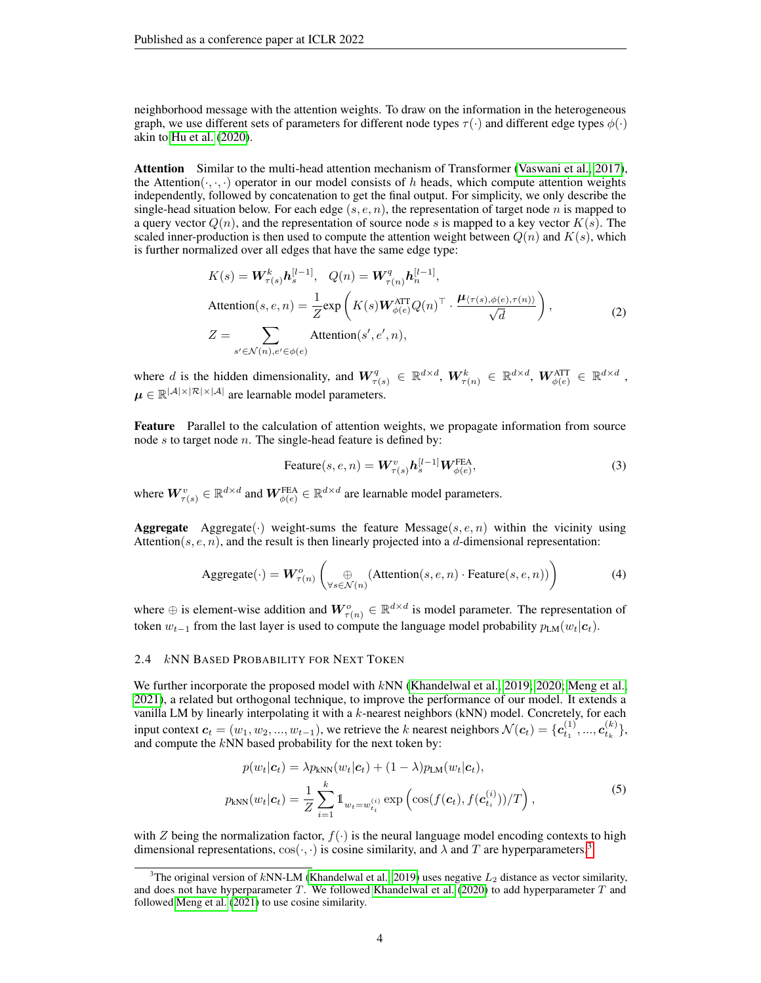neighborhood message with the attention weights. To draw on the information in the heterogeneous graph, we use different sets of parameters for different node types  $\tau(\cdot)$  and different edge types  $\phi(\cdot)$ akin to [Hu et al.](#page-10-2) [\(2020\)](#page-10-2).

Attention Similar to the multi-head attention mechanism of Transformer [\(Vaswani et al., 2017\)](#page-12-1), the Attention $(\cdot, \cdot, \cdot)$  operator in our model consists of h heads, which compute attention weights independently, followed by concatenation to get the final output. For simplicity, we only describe the single-head situation below. For each edge  $(s, e, n)$ , the representation of target node n is mapped to a query vector  $Q(n)$ , and the representation of source node s is mapped to a key vector  $K(s)$ . The scaled inner-production is then used to compute the attention weight between  $Q(n)$  and  $K(s)$ , which is further normalized over all edges that have the same edge type:

$$
K(s) = \mathbf{W}_{\tau(s)}^k \mathbf{h}_s^{[l-1]}, \quad Q(n) = \mathbf{W}_{\tau(n)}^q \mathbf{h}_n^{[l-1]},
$$
  
Attention(s, e, n) =  $\frac{1}{Z} \exp\left(K(s) \mathbf{W}_{\phi(e)}^{\text{ATT}} Q(n)^\top \cdot \frac{\boldsymbol{\mu}_{\langle \tau(s), \phi(e), \tau(n) \rangle}}{\sqrt{d}}\right),$   

$$
Z = \sum_{s' \in \mathcal{N}(n), e' \in \phi(e)} \text{Attention}(s', e', n),
$$
 (2)

where d is the hidden dimensionality, and  $W_{\tau(s)}^q \in \mathbb{R}^{d \times d}$ ,  $W_{\tau(n)}^k \in \mathbb{R}^{d \times d}$ ,  $W_{\phi(e)}^{\text{ATT}} \in \mathbb{R}^{d \times d}$ ,  $\mu \in \mathbb{R}^{|\mathcal{A}| \times |\mathcal{R}| \times |\mathcal{A}|}$  are learnable model parameters.

Feature Parallel to the calculation of attention weights, we propagate information from source node  $s$  to target node  $n$ . The single-head feature is defined by:

$$
\text{Feature}(s, e, n) = \mathbf{W}_{\tau(s)}^v \mathbf{h}_s^{[l-1]} \mathbf{W}_{\phi(e)}^{\text{FEA}},\tag{3}
$$

where  $\bm{W}_{\tau(s)}^v \in \mathbb{R}^{d \times d}$  and  $\bm{W}_{\phi(e)}^{\text{FEA}} \in \mathbb{R}^{d \times d}$  are learnable model parameters.

**Aggregate** Aggregate( $\cdot$ ) weight-sums the feature Message( $s, e, n$ ) within the vicinity using Attention( $s, e, n$ ), and the result is then linearly projected into a d-dimensional representation:

$$
Aggregate(\cdot) = \boldsymbol{W}_{\tau(n)}^o \left( \bigoplus_{\forall s \in \mathcal{N}(n)} (\text{Attention}(s, e, n) \cdot \text{Feature}(s, e, n)) \right)
$$
(4)

where  $\oplus$  is element-wise addition and  $W_{\tau(n)}^o \in \mathbb{R}^{d \times d}$  is model parameter. The representation of token  $w_{t-1}$  from the last layer is used to compute the language model probability  $p_{LM}(w_t|c_t)$ .

## <span id="page-3-1"></span>2.4 kNN BASED PROBABILITY FOR NEXT TOKEN

We further incorporate the proposed model with  $kNN$  [\(Khandelwal et al., 2019;](#page-10-0) [2020;](#page-10-3) [Meng et al.,](#page-11-2) [2021\)](#page-11-2), a related but orthogonal technique, to improve the performance of our model. It extends a vanilla LM by linearly interpolating it with a  $k$ -nearest neighbors (kNN) model. Concretely, for each input context  $c_t = (w_1, w_2, ..., w_{t-1})$ , we retrieve the k nearest neighbors  $\mathcal{N}(c_t) = \{c_{t_1}^{(1)}, ..., c_{t_k}^{(k)}\}$ , and compute the  $kNN$  based probability for the next token by:

$$
p(w_t|\mathbf{c}_t) = \lambda p_{kNN}(w_t|\mathbf{c}_t) + (1-\lambda)p_{LM}(w_t|\mathbf{c}_t),
$$
  
\n
$$
p_{kNN}(w_t|\mathbf{c}_t) = \frac{1}{Z} \sum_{i=1}^k \mathbb{1}_{w_t = w_{t_i}^{(i)}} \exp\left(\cos(f(\mathbf{c}_t), f(\mathbf{c}_{t_i}^{(i)}))/T\right),
$$
\n(5)

with Z being the normalization factor,  $f(\cdot)$  is the neural language model encoding contexts to high dimensional representations,  $\cos(\cdot, \cdot)$  is cosine similarity, and  $\lambda$  and T are hyperparameters.<sup>[3](#page-3-0)</sup>

<span id="page-3-0"></span><sup>&</sup>lt;sup>3</sup>The original version of kNN-LM [\(Khandelwal et al., 2019\)](#page-10-0) uses negative  $L_2$  distance as vector similarity, and does not have hyperparameter  $T$ . We followed [Khandelwal et al.](#page-10-3) [\(2020\)](#page-10-3) to add hyperparameter  $T$  and followed [Meng et al.](#page-11-2) [\(2021\)](#page-11-2) to use cosine similarity.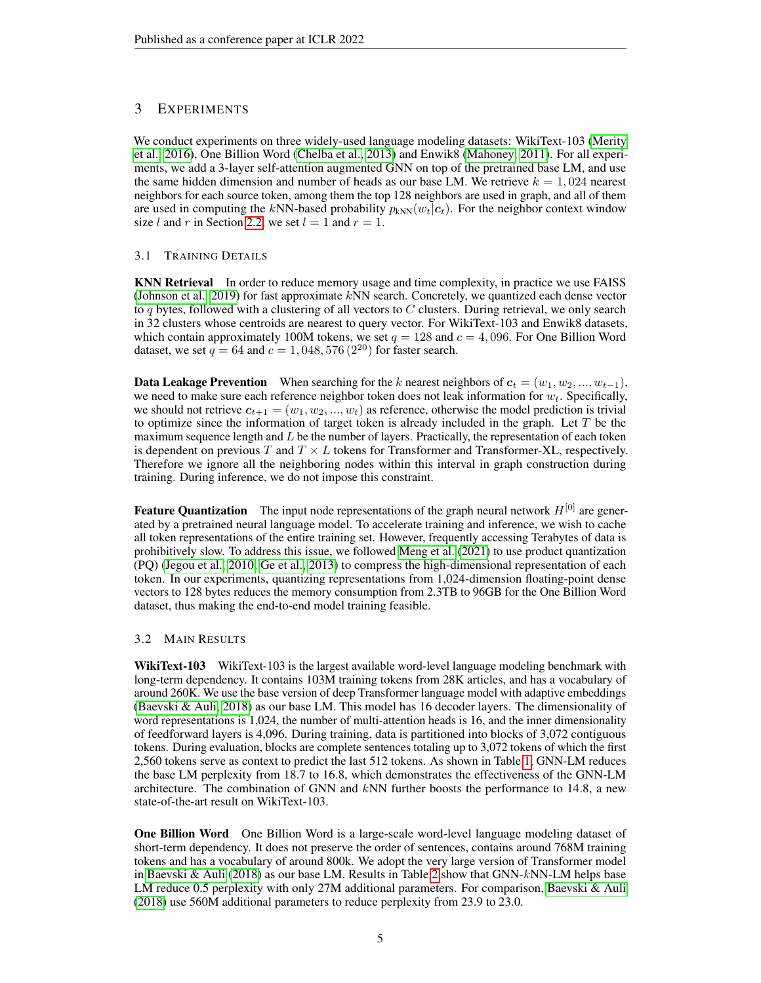## 3 EXPERIMENTS

We conduct experiments on three widely-used language modeling datasets: WikiText-103 [\(Merity](#page-11-3) [et al., 2016\)](#page-11-3), One Billion Word [\(Chelba et al., 2013\)](#page-9-2) and Enwik8 [\(Mahoney, 2011\)](#page-11-4). For all experiments, we add a 3-layer self-attention augmented GNN on top of the pretrained base LM, and use the same hidden dimension and number of heads as our base LM. We retrieve  $k = 1,024$  nearest neighbors for each source token, among them the top 128 neighbors are used in graph, and all of them are used in computing the kNN-based probability  $p_{kNN}(w_t|c_t)$ . For the neighbor context window size l and r in Section [2.2,](#page-2-1) we set  $l = 1$  and  $r = 1$ .

## 3.1 TRAINING DETAILS

KNN Retrieval In order to reduce memory usage and time complexity, in practice we use FAISS [\(Johnson et al., 2019\)](#page-10-1) for fast approximate kNN search. Concretely, we quantized each dense vector to q bytes, followed with a clustering of all vectors to C clusters. During retrieval, we only search in 32 clusters whose centroids are nearest to query vector. For WikiText-103 and Enwik8 datasets, which contain approximately 100M tokens, we set  $q = 128$  and  $c = 4,096$ . For One Billion Word dataset, we set  $q = 64$  and  $c = 1,048,576 (2^{20})$  for faster search.

**Data Leakage Prevention** When searching for the k nearest neighbors of  $c_t = (w_1, w_2, ..., w_{t-1})$ , we need to make sure each reference neighbor token does not leak information for  $w_t$ . Specifically, we should not retrieve  $c_{t+1} = (w_1, w_2, ..., w_t)$  as reference, otherwise the model prediction is trivial to optimize since the information of target token is already included in the graph. Let  $T$  be the maximum sequence length and  $L$  be the number of layers. Practically, the representation of each token is dependent on previous T and  $T \times L$  tokens for Transformer and Transformer-XL, respectively. Therefore we ignore all the neighboring nodes within this interval in graph construction during training. During inference, we do not impose this constraint.

**Feature Quantization** The input node representations of the graph neural network  $H^{[0]}$  are generated by a pretrained neural language model. To accelerate training and inference, we wish to cache all token representations of the entire training set. However, frequently accessing Terabytes of data is prohibitively slow. To address this issue, we followed [Meng et al.](#page-11-2) [\(2021\)](#page-11-2) to use product quantization (PQ) [\(Jegou et al., 2010;](#page-10-4) [Ge et al., 2013\)](#page-9-3) to compress the high-dimensional representation of each token. In our experiments, quantizing representations from 1,024-dimension floating-point dense vectors to 128 bytes reduces the memory consumption from 2.3TB to 96GB for the One Billion Word dataset, thus making the end-to-end model training feasible.

## 3.2 MAIN RESULTS

WikiText-103 WikiText-103 is the largest available word-level language modeling benchmark with long-term dependency. It contains 103M training tokens from 28K articles, and has a vocabulary of around 260K. We use the base version of deep Transformer language model with adaptive embeddings [\(Baevski & Auli, 2018\)](#page-9-4) as our base LM. This model has 16 decoder layers. The dimensionality of word representations is 1,024, the number of multi-attention heads is 16, and the inner dimensionality of feedforward layers is 4,096. During training, data is partitioned into blocks of 3,072 contiguous tokens. During evaluation, blocks are complete sentences totaling up to 3,072 tokens of which the first 2,560 tokens serve as context to predict the last 512 tokens. As shown in Table [1,](#page-5-0) GNN-LM reduces the base LM perplexity from 18.7 to 16.8, which demonstrates the effectiveness of the GNN-LM architecture. The combination of GNN and  $k$ NN further boosts the performance to 14.8, a new state-of-the-art result on WikiText-103.

One Billion Word One Billion Word is a large-scale word-level language modeling dataset of short-term dependency. It does not preserve the order of sentences, contains around 768M training tokens and has a vocabulary of around 800k. We adopt the very large version of Transformer model in [Baevski & Auli](#page-9-4) [\(2018\)](#page-9-4) as our base LM. Results in Table [2](#page-5-1) show that GNN-kNN-LM helps base LM reduce 0.5 perplexity with only 27M additional parameters. For comparison, [Baevski & Auli](#page-9-4) [\(2018\)](#page-9-4) use 560M additional parameters to reduce perplexity from 23.9 to 23.0.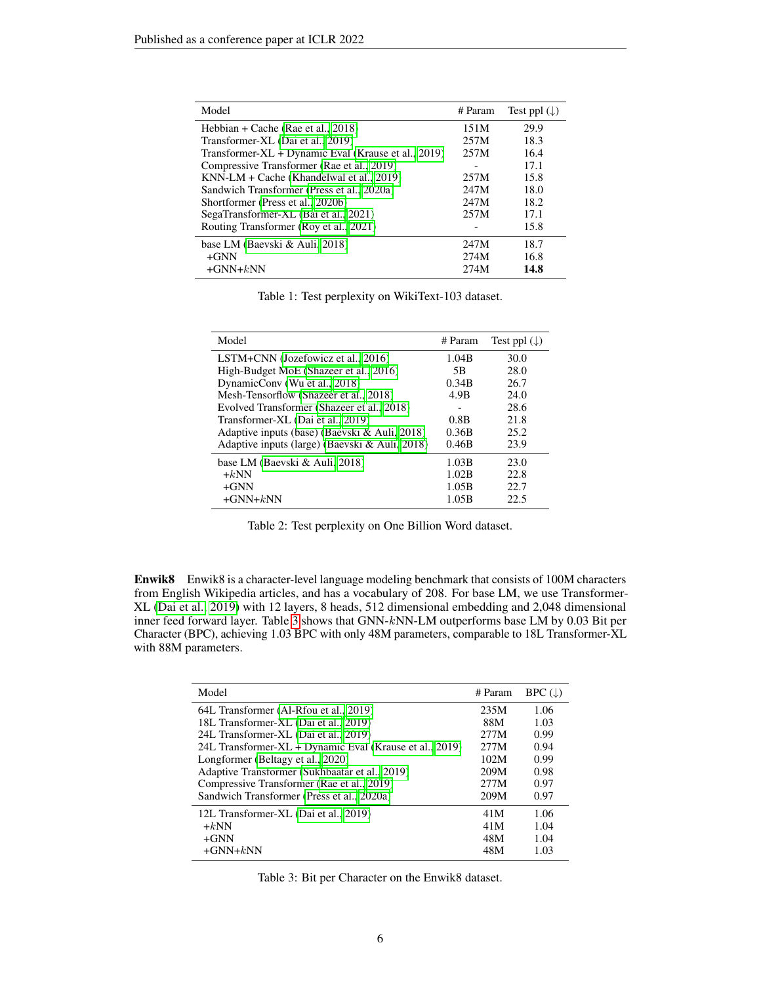| Model                                               | # Param | Test ppl $(\downarrow)$ |
|-----------------------------------------------------|---------|-------------------------|
| Hebbian + Cache (Rae et al., 2018)                  | 151M    | 29.9                    |
| Transformer-XL (Dai et al., 2019)                   | 257M    | 18.3                    |
| Transformer-XL + Dynamic Eval (Krause et al., 2019) | 257M    | 16.4                    |
| Compressive Transformer (Rae et al., 2019)          |         | 17.1                    |
| KNN-LM + Cache (Khandelwal et al., 2019)            | 257M    | 15.8                    |
| Sandwich Transformer (Press et al., 2020a)          | 247M    | 18.0                    |
| Shortformer (Press et al., 2020b)                   | 247M    | 18.2                    |
| SegaTransformer-XL (Bai et al., 2021)               | 257M    | 17.1                    |
| Routing Transformer (Roy et al., 2021)              |         | 15.8                    |
| base LM (Baevski & Auli, 2018)                      | 247M    | 18.7                    |
| $+GNN$                                              | 274M    | 16.8                    |
| $+GNN+kNN$                                          | 274M    | 14.8                    |

<span id="page-5-0"></span>Table 1: Test perplexity on WikiText-103 dataset.

| Model                                          | # Param | Test ppl $(\downarrow)$ |
|------------------------------------------------|---------|-------------------------|
| LSTM+CNN (Jozefowicz et al., 2016)             | 1.04B   | 30.0                    |
| High-Budget MoE (Shazeer et al., 2016)         | 5B      | 28.0                    |
| DynamicConv (Wu et al., 2018)                  | 0.34B   | 26.7                    |
| Mesh-Tensorflow (Shazeer et al., 2018)         | 4.9B    | 24.0                    |
| Evolved Transformer (Shazeer et al., 2018)     | -       | 28.6                    |
| Transformer-XL (Dai et al., 2019)              | 0.8B    | 21.8                    |
| Adaptive inputs (base) (Baevski & Auli, 2018)  | 0.36B   | 25.2                    |
| Adaptive inputs (large) (Baevski & Auli, 2018) | 0.46B   | 23.9                    |
| base LM (Baevski & Auli, 2018)                 | 1.03B   | 23.0                    |
| $+kNN$                                         | 1.02B   | 22.8                    |
| $+GNN$                                         | 1.05B   | 22.7                    |
| $+GNN+kNN$                                     | 1.05B   | 22.5                    |

<span id="page-5-1"></span>Table 2: Test perplexity on One Billion Word dataset.

Enwik8 Enwik8 is a character-level language modeling benchmark that consists of 100M characters from English Wikipedia articles, and has a vocabulary of 208. For base LM, we use Transformer-XL [\(Dai et al., 2019\)](#page-9-5) with 12 layers, 8 heads, 512 dimensional embedding and 2,048 dimensional inner feed forward layer. Table [3](#page-5-2) shows that GNN-kNN-LM outperforms base LM by 0.03 Bit per Character (BPC), achieving 1.03 BPC with only 48M parameters, comparable to 18L Transformer-XL with 88M parameters.

| Model                                                   | # Param | $BPC(\downarrow)$ |
|---------------------------------------------------------|---------|-------------------|
| 64L Transformer (Al-Rfou et al., 2019)                  | 235M    | 1.06              |
| 18L Transformer-XL (Dai et al., 2019)                   | 88M     | 1.03              |
| 24L Transformer-XL (Dai et al., 2019)                   | 2.77M   | 0.99              |
| 24L Transformer-XL + Dynamic Eval (Krause et al., 2019) | 2.77M   | 0.94              |
| Longformer (Beltagy et al., 2020)                       | 102M    | 0.99              |
| Adaptive Transformer (Sukhbaatar et al., 2019)          | 209M    | 0.98              |
| Compressive Transformer (Rae et al., 2019)              | 277M    | 0.97              |
| Sandwich Transformer (Press et al., 2020a)              | 209M    | 0.97              |
| 12L Transformer-XL (Dai et al., 2019)                   | 41M     | 1.06              |
| $+kNN$                                                  | 41M     | 1.04              |
| $+GNN$                                                  | 48M     | 1.04              |
| $+GNN+kNN$                                              | 48M     | 1.03              |

<span id="page-5-2"></span>Table 3: Bit per Character on the Enwik8 dataset.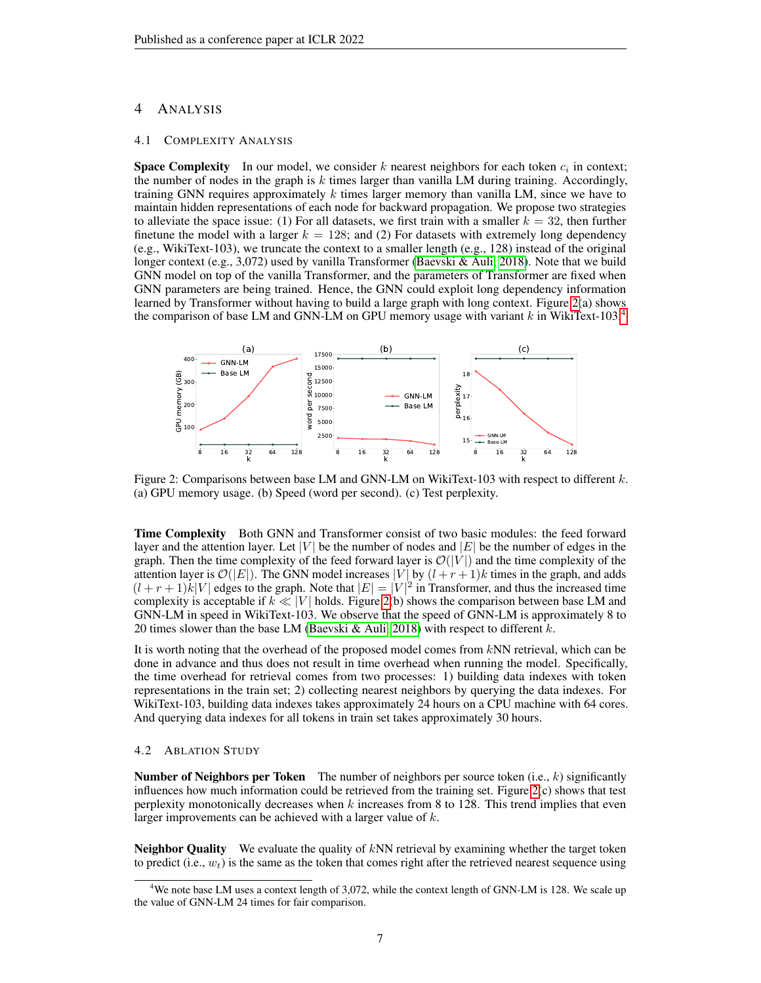## 4 ANALYSIS

#### 4.1 COMPLEXITY ANALYSIS

**Space Complexity** In our model, we consider k nearest neighbors for each token  $c_i$  in context; the number of nodes in the graph is  $k$  times larger than vanilla LM during training. Accordingly, training GNN requires approximately  $k$  times larger memory than vanilla LM, since we have to maintain hidden representations of each node for backward propagation. We propose two strategies to alleviate the space issue: (1) For all datasets, we first train with a smaller  $k = 32$ , then further finetune the model with a larger  $k = 128$ ; and (2) For datasets with extremely long dependency (e.g., WikiText-103), we truncate the context to a smaller length (e.g., 128) instead of the original longer context (e.g., 3,072) used by vanilla Transformer [\(Baevski & Auli, 2018\)](#page-9-4). Note that we build GNN model on top of the vanilla Transformer, and the parameters of Transformer are fixed when GNN parameters are being trained. Hence, the GNN could exploit long dependency information learned by Transformer without having to build a large graph with long context. Figure [2\(](#page-6-0)a) shows the comparison of base LM and GNN-LM on GPU memory usage with variant  $k$  in WikiText-103.<sup>[4](#page-6-1)</sup>



<span id="page-6-0"></span>Figure 2: Comparisons between base LM and GNN-LM on WikiText-103 with respect to different  $k$ . (a) GPU memory usage. (b) Speed (word per second). (c) Test perplexity.

Time Complexity Both GNN and Transformer consist of two basic modules: the feed forward layer and the attention layer. Let |V| be the number of nodes and  $|E|$  be the number of edges in the graph. Then the time complexity of the feed forward layer is  $\mathcal{O}(|V|)$  and the time complexity of the attention layer is  $\mathcal{O}(|E|)$ . The GNN model increases |V| by  $(l + r + 1)k$  times in the graph, and adds  $(l + r + 1)k|V|$  edges to the graph. Note that  $|E| = |V|^2$  in Transformer, and thus the increased time complexity is acceptable if  $k \ll |V|$  holds. Figure [2\(](#page-6-0)b) shows the comparison between base LM and GNN-LM in speed in WikiText-103. We observe that the speed of GNN-LM is approximately 8 to 20 times slower than the base LM [\(Baevski & Auli, 2018\)](#page-9-4) with respect to different  $k$ .

It is worth noting that the overhead of the proposed model comes from kNN retrieval, which can be done in advance and thus does not result in time overhead when running the model. Specifically, the time overhead for retrieval comes from two processes: 1) building data indexes with token representations in the train set; 2) collecting nearest neighbors by querying the data indexes. For WikiText-103, building data indexes takes approximately 24 hours on a CPU machine with 64 cores. And querying data indexes for all tokens in train set takes approximately 30 hours.

## 4.2 ABLATION STUDY

**Number of Neighbors per Token** The number of neighbors per source token  $(i.e., k)$  significantly influences how much information could be retrieved from the training set. Figure [2\(](#page-6-0)c) shows that test perplexity monotonically decreases when  $k$  increases from 8 to 128. This trend implies that even larger improvements can be achieved with a larger value of  $k$ .

**Neighbor Quality** We evaluate the quality of  $kNN$  retrieval by examining whether the target token to predict (i.e.,  $w_t$ ) is the same as the token that comes right after the retrieved nearest sequence using

<span id="page-6-1"></span><sup>&</sup>lt;sup>4</sup>We note base LM uses a context length of 3,072, while the context length of GNN-LM is 128. We scale up the value of GNN-LM 24 times for fair comparison.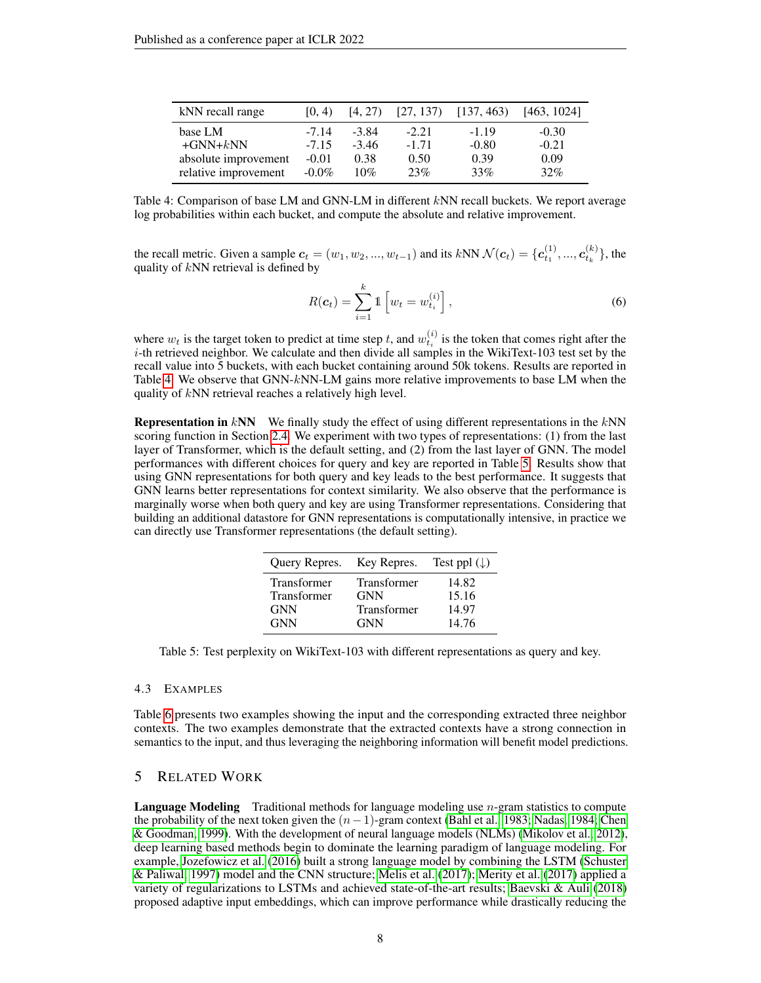| kNN recall range     | [0, 4)   | [4, 27) | [27, 137) | [137, 463] | [463, 1024] |
|----------------------|----------|---------|-----------|------------|-------------|
| base LM              | $-7.14$  | $-3.84$ | $-2.21$   | $-1.19$    | $-0.30$     |
| $+GNN+kNN$           | $-7.15$  | $-3.46$ | $-1.71$   | $-0.80$    | $-0.21$     |
| absolute improvement | $-0.01$  | 0.38    | 0.50      | 0.39       | 0.09        |
| relative improvement | $-0.0\%$ | 10%     | 23%       | 33%        | 32%         |

<span id="page-7-0"></span>Table 4: Comparison of base LM and GNN-LM in different kNN recall buckets. We report average log probabilities within each bucket, and compute the absolute and relative improvement.

the recall metric. Given a sample  $c_t = (w_1, w_2, ..., w_{t-1})$  and its  $kNN \mathcal{N}(c_t) = \{c_{t_1}^{(1)}, ..., c_{t_k}^{(k)}\}$ , the quality of  $kNN$  retrieval is defined by

$$
R(\boldsymbol{c}_t) = \sum_{i=1}^k \mathbb{1} \left[ w_t = w_{t_i}^{(i)} \right], \tag{6}
$$

where  $w_t$  is the target token to predict at time step t, and  $w_{t_i}^{(i)}$  is the token that comes right after the i-th retrieved neighbor. We calculate and then divide all samples in the WikiText-103 test set by the recall value into 5 buckets, with each bucket containing around 50k tokens. Results are reported in Table [4.](#page-7-0) We observe that GNN- $k$ NN-LM gains more relative improvements to base LM when the quality of kNN retrieval reaches a relatively high level.

**Representation in kNN** We finally study the effect of using different representations in the kNN scoring function in Section [2.4.](#page-3-1) We experiment with two types of representations: (1) from the last layer of Transformer, which is the default setting, and (2) from the last layer of GNN. The model performances with different choices for query and key are reported in Table [5.](#page-7-1) Results show that using GNN representations for both query and key leads to the best performance. It suggests that GNN learns better representations for context similarity. We also observe that the performance is marginally worse when both query and key are using Transformer representations. Considering that building an additional datastore for GNN representations is computationally intensive, in practice we can directly use Transformer representations (the default setting).

| Query Repres. Key Repres. |                    | Test ppl $(\downarrow)$ |
|---------------------------|--------------------|-------------------------|
| Transformer               | <b>Transformer</b> | 14.82                   |
| Transformer               | <b>GNN</b>         | 15.16                   |
| <b>GNN</b>                | <b>Transformer</b> | 14.97                   |
| <b>GNN</b>                | <b>GNN</b>         | 14.76                   |

<span id="page-7-1"></span>Table 5: Test perplexity on WikiText-103 with different representations as query and key.

## 4.3 EXAMPLES

Table [6](#page-8-0) presents two examples showing the input and the corresponding extracted three neighbor contexts. The two examples demonstrate that the extracted contexts have a strong connection in semantics to the input, and thus leveraging the neighboring information will benefit model predictions.

## 5 RELATED WORK

**Language Modeling** Traditional methods for language modeling use  $n$ -gram statistics to compute the probability of the next token given the  $(n-1)$ -gram context [\(Bahl et al., 1983;](#page-9-0) [Nadas, 1984;](#page-11-12) [Chen](#page-9-1) [& Goodman, 1999\)](#page-9-1). With the development of neural language models (NLMs) [\(Mikolov et al., 2012\)](#page-11-1), deep learning based methods begin to dominate the learning paradigm of language modeling. For example, [Jozefowicz et al.](#page-10-6) [\(2016\)](#page-10-6) built a strong language model by combining the LSTM [\(Schuster](#page-11-13) [& Paliwal, 1997\)](#page-11-13) model and the CNN structure; [Melis et al.](#page-11-14) [\(2017\)](#page-11-14); [Merity et al.](#page-11-15) [\(2017\)](#page-11-15) applied a variety of regularizations to LSTMs and achieved state-of-the-art results; [Baevski & Auli](#page-9-4) [\(2018\)](#page-9-4) proposed adaptive input embeddings, which can improve performance while drastically reducing the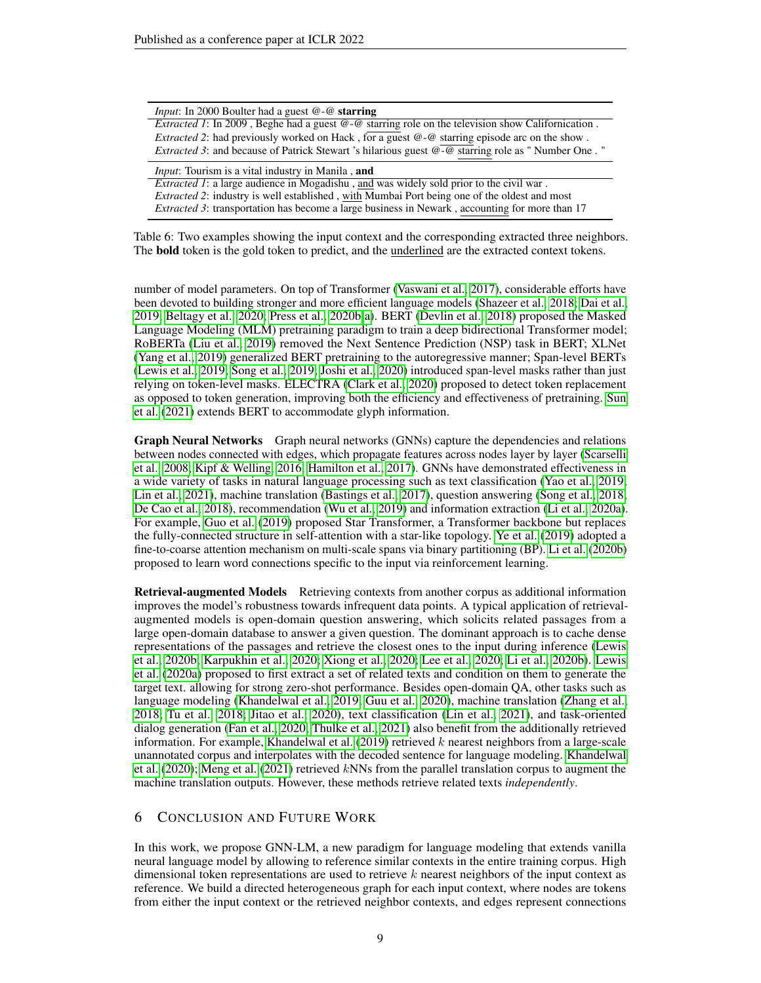| <i>Input</i> : In 2000 Boulter had a guest $@$ - $@$ <b>starring</b>                                            |
|-----------------------------------------------------------------------------------------------------------------|
| <i>Extracted 1</i> : In 2009, Beghe had a guest $@$ - $@$ starring role on the television show Californication. |
| <i>Extracted 2</i> : had previously worked on Hack, for a guest @-@ starring episode arc on the show.           |
| <i>Extracted 3</i> : and because of Patrick Stewart 's hilarious guest @-@ starring role as " Number One. "     |
|                                                                                                                 |
| <i>Input</i> : Tourism is a vital industry in Manila, and                                                       |
| <i>Extracted 1</i> : a large audience in Mogadishu, and was widely sold prior to the civil war.                 |
| <i>Extracted 2:</i> industry is well established, with Mumbai Port being one of the oldest and most             |

<span id="page-8-0"></span>Table 6: Two examples showing the input context and the corresponding extracted three neighbors. The bold token is the gold token to predict, and the underlined are the extracted context tokens.

number of model parameters. On top of Transformer [\(Vaswani et al., 2017\)](#page-12-1), considerable efforts have been devoted to building stronger and more efficient language models [\(Shazeer et al., 2018;](#page-11-11) [Dai et al.,](#page-9-5) [2019;](#page-9-5) [Beltagy et al., 2020;](#page-9-8) [Press et al., 2020b](#page-11-8)[;a\)](#page-11-7). BERT [\(Devlin et al., 2018\)](#page-9-9) proposed the Masked Language Modeling (MLM) pretraining paradigm to train a deep bidirectional Transformer model; RoBERTa [\(Liu et al., 2019\)](#page-11-16) removed the Next Sentence Prediction (NSP) task in BERT; XLNet [\(Yang et al., 2019\)](#page-12-4) generalized BERT pretraining to the autoregressive manner; Span-level BERTs [\(Lewis et al., 2019;](#page-10-7) [Song et al., 2019;](#page-11-17) [Joshi et al., 2020\)](#page-10-8) introduced span-level masks rather than just relying on token-level masks. ELECTRA [\(Clark et al., 2020\)](#page-9-10) proposed to detect token replacement as opposed to token generation, improving both the efficiency and effectiveness of pretraining. [Sun](#page-12-5) [et al.](#page-12-5) [\(2021\)](#page-12-5) extends BERT to accommodate glyph information.

Graph Neural Networks Graph neural networks (GNNs) capture the dependencies and relations between nodes connected with edges, which propagate features across nodes layer by layer [\(Scarselli](#page-11-18) [et al., 2008;](#page-11-18) [Kipf & Welling, 2016;](#page-10-9) [Hamilton et al., 2017\)](#page-10-10). GNNs have demonstrated effectiveness in a wide variety of tasks in natural language processing such as text classification [\(Yao et al., 2019;](#page-12-6) [Lin et al., 2021\)](#page-11-19), machine translation [\(Bastings et al., 2017\)](#page-9-11), question answering [\(Song et al., 2018;](#page-12-7) [De Cao et al., 2018\)](#page-9-12), recommendation [\(Wu et al., 2019\)](#page-12-8) and information extraction [\(Li et al., 2020a\)](#page-10-11). For example, [Guo et al.](#page-9-13) [\(2019\)](#page-9-13) proposed Star Transformer, a Transformer backbone but replaces the fully-connected structure in self-attention with a star-like topology. [Ye et al.](#page-12-9) [\(2019\)](#page-12-9) adopted a fine-to-coarse attention mechanism on multi-scale spans via binary partitioning (BP). [Li et al.](#page-10-12) [\(2020b\)](#page-10-12) proposed to learn word connections specific to the input via reinforcement learning.

Retrieval-augmented Models Retrieving contexts from another corpus as additional information improves the model's robustness towards infrequent data points. A typical application of retrievalaugmented models is open-domain question answering, which solicits related passages from a large open-domain database to answer a given question. The dominant approach is to cache dense representations of the passages and retrieve the closest ones to the input during inference [\(Lewis](#page-10-13) [et al., 2020b;](#page-10-13) [Karpukhin et al., 2020;](#page-10-14) [Xiong et al., 2020;](#page-12-10) [Lee et al., 2020;](#page-10-15) [Li et al., 2020b\)](#page-10-12). [Lewis](#page-10-16) [et al.](#page-10-16) [\(2020a\)](#page-10-16) proposed to first extract a set of related texts and condition on them to generate the target text. allowing for strong zero-shot performance. Besides open-domain QA, other tasks such as language modeling [\(Khandelwal et al., 2019;](#page-10-0) [Guu et al., 2020\)](#page-9-14), machine translation [\(Zhang et al.,](#page-12-11) [2018;](#page-12-11) [Tu et al., 2018;](#page-12-12) [Jitao et al., 2020\)](#page-10-17), text classification [\(Lin et al., 2021\)](#page-11-19), and task-oriented dialog generation [\(Fan et al., 2020;](#page-9-15) [Thulke et al., 2021\)](#page-12-13) also benefit from the additionally retrieved information. For example, [Khandelwal et al.](#page-10-0)  $(2019)$  retrieved k nearest neighbors from a large-scale unannotated corpus and interpolates with the decoded sentence for language modeling. [Khandelwal](#page-10-3) [et al.](#page-10-3) [\(2020\)](#page-10-3); [Meng et al.](#page-11-2) [\(2021\)](#page-11-2) retrieved kNNs from the parallel translation corpus to augment the machine translation outputs. However, these methods retrieve related texts *independently*.

## 6 CONCLUSION AND FUTURE WORK

In this work, we propose GNN-LM, a new paradigm for language modeling that extends vanilla neural language model by allowing to reference similar contexts in the entire training corpus. High dimensional token representations are used to retrieve  $k$  nearest neighbors of the input context as reference. We build a directed heterogeneous graph for each input context, where nodes are tokens from either the input context or the retrieved neighbor contexts, and edges represent connections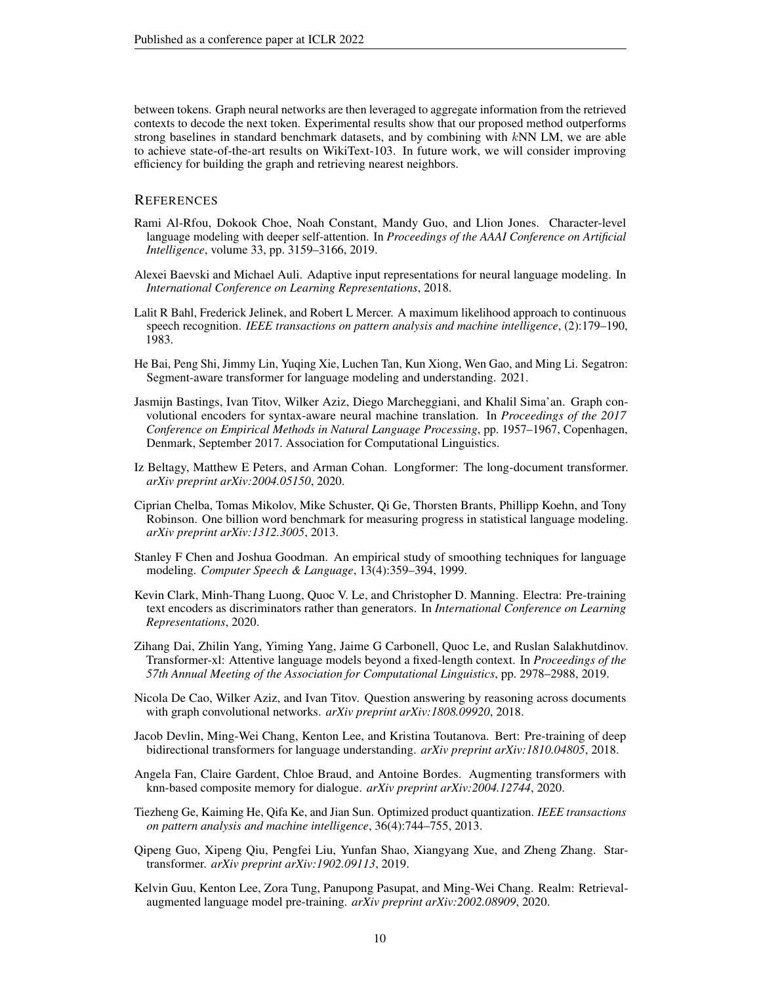between tokens. Graph neural networks are then leveraged to aggregate information from the retrieved contexts to decode the next token. Experimental results show that our proposed method outperforms strong baselines in standard benchmark datasets, and by combining with kNN LM, we are able to achieve state-of-the-art results on WikiText-103. In future work, we will consider improving efficiency for building the graph and retrieving nearest neighbors.

## **REFERENCES**

- <span id="page-9-7"></span>Rami Al-Rfou, Dokook Choe, Noah Constant, Mandy Guo, and Llion Jones. Character-level language modeling with deeper self-attention. In *Proceedings of the AAAI Conference on Artificial Intelligence*, volume 33, pp. 3159–3166, 2019.
- <span id="page-9-4"></span>Alexei Baevski and Michael Auli. Adaptive input representations for neural language modeling. In *International Conference on Learning Representations*, 2018.
- <span id="page-9-0"></span>Lalit R Bahl, Frederick Jelinek, and Robert L Mercer. A maximum likelihood approach to continuous speech recognition. *IEEE transactions on pattern analysis and machine intelligence*, (2):179–190, 1983.
- <span id="page-9-6"></span>He Bai, Peng Shi, Jimmy Lin, Yuqing Xie, Luchen Tan, Kun Xiong, Wen Gao, and Ming Li. Segatron: Segment-aware transformer for language modeling and understanding. 2021.
- <span id="page-9-11"></span>Jasmijn Bastings, Ivan Titov, Wilker Aziz, Diego Marcheggiani, and Khalil Sima'an. Graph convolutional encoders for syntax-aware neural machine translation. In *Proceedings of the 2017 Conference on Empirical Methods in Natural Language Processing*, pp. 1957–1967, Copenhagen, Denmark, September 2017. Association for Computational Linguistics.
- <span id="page-9-8"></span>Iz Beltagy, Matthew E Peters, and Arman Cohan. Longformer: The long-document transformer. *arXiv preprint arXiv:2004.05150*, 2020.
- <span id="page-9-2"></span>Ciprian Chelba, Tomas Mikolov, Mike Schuster, Qi Ge, Thorsten Brants, Phillipp Koehn, and Tony Robinson. One billion word benchmark for measuring progress in statistical language modeling. *arXiv preprint arXiv:1312.3005*, 2013.
- <span id="page-9-1"></span>Stanley F Chen and Joshua Goodman. An empirical study of smoothing techniques for language modeling. *Computer Speech & Language*, 13(4):359–394, 1999.
- <span id="page-9-10"></span>Kevin Clark, Minh-Thang Luong, Quoc V. Le, and Christopher D. Manning. Electra: Pre-training text encoders as discriminators rather than generators. In *International Conference on Learning Representations*, 2020.
- <span id="page-9-5"></span>Zihang Dai, Zhilin Yang, Yiming Yang, Jaime G Carbonell, Quoc Le, and Ruslan Salakhutdinov. Transformer-xl: Attentive language models beyond a fixed-length context. In *Proceedings of the 57th Annual Meeting of the Association for Computational Linguistics*, pp. 2978–2988, 2019.
- <span id="page-9-12"></span>Nicola De Cao, Wilker Aziz, and Ivan Titov. Question answering by reasoning across documents with graph convolutional networks. *arXiv preprint arXiv:1808.09920*, 2018.
- <span id="page-9-9"></span>Jacob Devlin, Ming-Wei Chang, Kenton Lee, and Kristina Toutanova. Bert: Pre-training of deep bidirectional transformers for language understanding. *arXiv preprint arXiv:1810.04805*, 2018.
- <span id="page-9-15"></span>Angela Fan, Claire Gardent, Chloe Braud, and Antoine Bordes. Augmenting transformers with knn-based composite memory for dialogue. *arXiv preprint arXiv:2004.12744*, 2020.
- <span id="page-9-3"></span>Tiezheng Ge, Kaiming He, Qifa Ke, and Jian Sun. Optimized product quantization. *IEEE transactions on pattern analysis and machine intelligence*, 36(4):744–755, 2013.
- <span id="page-9-13"></span>Qipeng Guo, Xipeng Qiu, Pengfei Liu, Yunfan Shao, Xiangyang Xue, and Zheng Zhang. Startransformer. *arXiv preprint arXiv:1902.09113*, 2019.
- <span id="page-9-14"></span>Kelvin Guu, Kenton Lee, Zora Tung, Panupong Pasupat, and Ming-Wei Chang. Realm: Retrievalaugmented language model pre-training. *arXiv preprint arXiv:2002.08909*, 2020.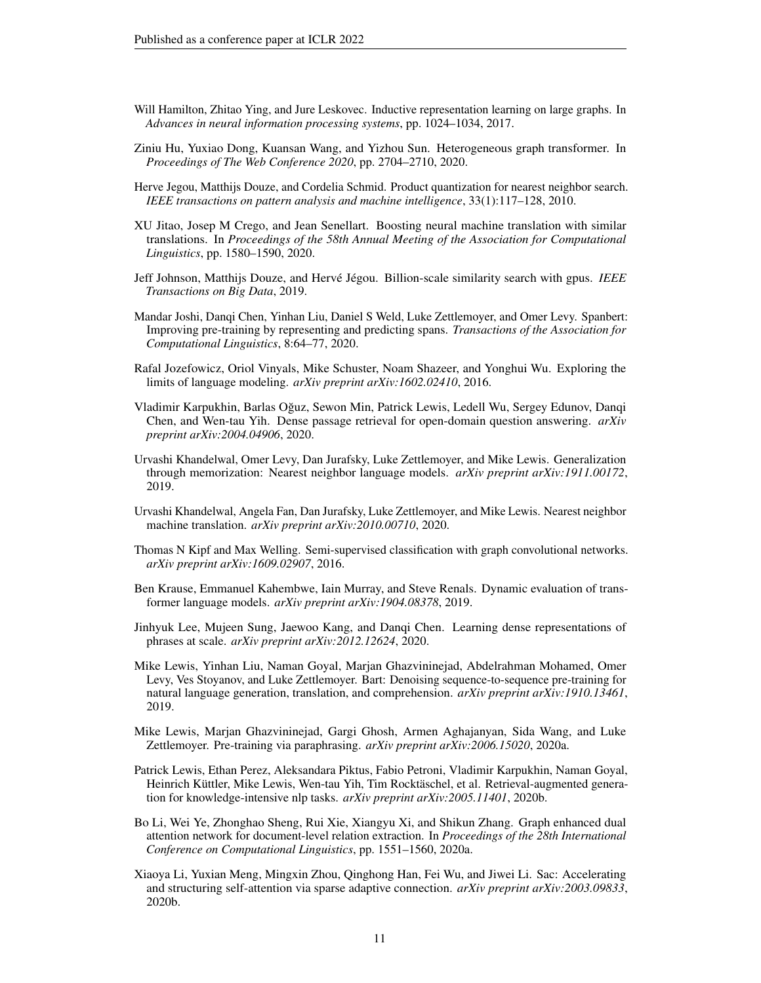- <span id="page-10-10"></span>Will Hamilton, Zhitao Ying, and Jure Leskovec. Inductive representation learning on large graphs. In *Advances in neural information processing systems*, pp. 1024–1034, 2017.
- <span id="page-10-2"></span>Ziniu Hu, Yuxiao Dong, Kuansan Wang, and Yizhou Sun. Heterogeneous graph transformer. In *Proceedings of The Web Conference 2020*, pp. 2704–2710, 2020.
- <span id="page-10-4"></span>Herve Jegou, Matthijs Douze, and Cordelia Schmid. Product quantization for nearest neighbor search. *IEEE transactions on pattern analysis and machine intelligence*, 33(1):117–128, 2010.
- <span id="page-10-17"></span>XU Jitao, Josep M Crego, and Jean Senellart. Boosting neural machine translation with similar translations. In *Proceedings of the 58th Annual Meeting of the Association for Computational Linguistics*, pp. 1580–1590, 2020.
- <span id="page-10-1"></span>Jeff Johnson, Matthijs Douze, and Hervé Jégou. Billion-scale similarity search with gpus. *IEEE Transactions on Big Data*, 2019.
- <span id="page-10-8"></span>Mandar Joshi, Danqi Chen, Yinhan Liu, Daniel S Weld, Luke Zettlemoyer, and Omer Levy. Spanbert: Improving pre-training by representing and predicting spans. *Transactions of the Association for Computational Linguistics*, 8:64–77, 2020.
- <span id="page-10-6"></span>Rafal Jozefowicz, Oriol Vinyals, Mike Schuster, Noam Shazeer, and Yonghui Wu. Exploring the limits of language modeling. *arXiv preprint arXiv:1602.02410*, 2016.
- <span id="page-10-14"></span>Vladimir Karpukhin, Barlas Oguz, Sewon Min, Patrick Lewis, Ledell Wu, Sergey Edunov, Danqi ˘ Chen, and Wen-tau Yih. Dense passage retrieval for open-domain question answering. *arXiv preprint arXiv:2004.04906*, 2020.
- <span id="page-10-0"></span>Urvashi Khandelwal, Omer Levy, Dan Jurafsky, Luke Zettlemoyer, and Mike Lewis. Generalization through memorization: Nearest neighbor language models. *arXiv preprint arXiv:1911.00172*, 2019.
- <span id="page-10-3"></span>Urvashi Khandelwal, Angela Fan, Dan Jurafsky, Luke Zettlemoyer, and Mike Lewis. Nearest neighbor machine translation. *arXiv preprint arXiv:2010.00710*, 2020.
- <span id="page-10-9"></span>Thomas N Kipf and Max Welling. Semi-supervised classification with graph convolutional networks. *arXiv preprint arXiv:1609.02907*, 2016.
- <span id="page-10-5"></span>Ben Krause, Emmanuel Kahembwe, Iain Murray, and Steve Renals. Dynamic evaluation of transformer language models. *arXiv preprint arXiv:1904.08378*, 2019.
- <span id="page-10-15"></span>Jinhyuk Lee, Mujeen Sung, Jaewoo Kang, and Danqi Chen. Learning dense representations of phrases at scale. *arXiv preprint arXiv:2012.12624*, 2020.
- <span id="page-10-7"></span>Mike Lewis, Yinhan Liu, Naman Goyal, Marjan Ghazvininejad, Abdelrahman Mohamed, Omer Levy, Ves Stoyanov, and Luke Zettlemoyer. Bart: Denoising sequence-to-sequence pre-training for natural language generation, translation, and comprehension. *arXiv preprint arXiv:1910.13461*, 2019.
- <span id="page-10-16"></span>Mike Lewis, Marjan Ghazvininejad, Gargi Ghosh, Armen Aghajanyan, Sida Wang, and Luke Zettlemoyer. Pre-training via paraphrasing. *arXiv preprint arXiv:2006.15020*, 2020a.
- <span id="page-10-13"></span>Patrick Lewis, Ethan Perez, Aleksandara Piktus, Fabio Petroni, Vladimir Karpukhin, Naman Goyal, Heinrich Küttler, Mike Lewis, Wen-tau Yih, Tim Rocktäschel, et al. Retrieval-augmented generation for knowledge-intensive nlp tasks. *arXiv preprint arXiv:2005.11401*, 2020b.
- <span id="page-10-11"></span>Bo Li, Wei Ye, Zhonghao Sheng, Rui Xie, Xiangyu Xi, and Shikun Zhang. Graph enhanced dual attention network for document-level relation extraction. In *Proceedings of the 28th International Conference on Computational Linguistics*, pp. 1551–1560, 2020a.
- <span id="page-10-12"></span>Xiaoya Li, Yuxian Meng, Mingxin Zhou, Qinghong Han, Fei Wu, and Jiwei Li. Sac: Accelerating and structuring self-attention via sparse adaptive connection. *arXiv preprint arXiv:2003.09833*, 2020b.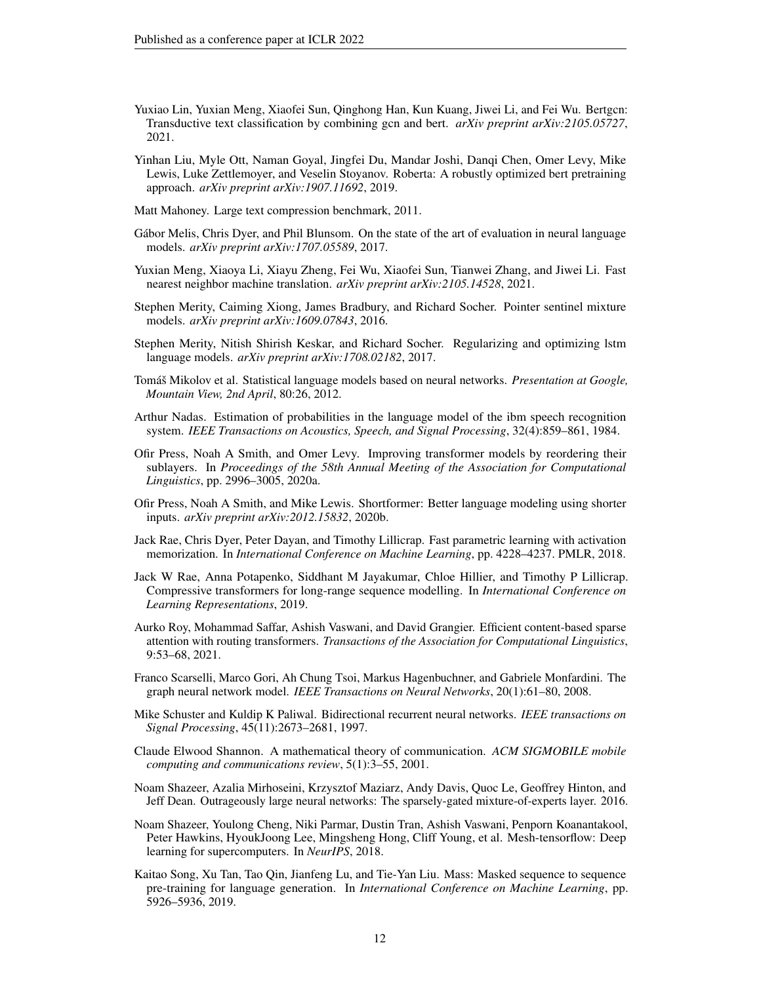- <span id="page-11-19"></span>Yuxiao Lin, Yuxian Meng, Xiaofei Sun, Qinghong Han, Kun Kuang, Jiwei Li, and Fei Wu. Bertgcn: Transductive text classification by combining gcn and bert. *arXiv preprint arXiv:2105.05727*, 2021.
- <span id="page-11-16"></span>Yinhan Liu, Myle Ott, Naman Goyal, Jingfei Du, Mandar Joshi, Danqi Chen, Omer Levy, Mike Lewis, Luke Zettlemoyer, and Veselin Stoyanov. Roberta: A robustly optimized bert pretraining approach. *arXiv preprint arXiv:1907.11692*, 2019.
- <span id="page-11-4"></span>Matt Mahoney. Large text compression benchmark, 2011.
- <span id="page-11-14"></span>Gábor Melis, Chris Dyer, and Phil Blunsom. On the state of the art of evaluation in neural language models. *arXiv preprint arXiv:1707.05589*, 2017.
- <span id="page-11-2"></span>Yuxian Meng, Xiaoya Li, Xiayu Zheng, Fei Wu, Xiaofei Sun, Tianwei Zhang, and Jiwei Li. Fast nearest neighbor machine translation. *arXiv preprint arXiv:2105.14528*, 2021.
- <span id="page-11-3"></span>Stephen Merity, Caiming Xiong, James Bradbury, and Richard Socher. Pointer sentinel mixture models. *arXiv preprint arXiv:1609.07843*, 2016.
- <span id="page-11-15"></span>Stephen Merity, Nitish Shirish Keskar, and Richard Socher. Regularizing and optimizing lstm language models. *arXiv preprint arXiv:1708.02182*, 2017.
- <span id="page-11-1"></span>Tomáš Mikolov et al. Statistical language models based on neural networks. *Presentation at Google, Mountain View, 2nd April*, 80:26, 2012.
- <span id="page-11-12"></span>Arthur Nadas. Estimation of probabilities in the language model of the ibm speech recognition system. *IEEE Transactions on Acoustics, Speech, and Signal Processing*, 32(4):859–861, 1984.
- <span id="page-11-7"></span>Ofir Press, Noah A Smith, and Omer Levy. Improving transformer models by reordering their sublayers. In *Proceedings of the 58th Annual Meeting of the Association for Computational Linguistics*, pp. 2996–3005, 2020a.
- <span id="page-11-8"></span>Ofir Press, Noah A Smith, and Mike Lewis. Shortformer: Better language modeling using shorter inputs. *arXiv preprint arXiv:2012.15832*, 2020b.
- <span id="page-11-5"></span>Jack Rae, Chris Dyer, Peter Dayan, and Timothy Lillicrap. Fast parametric learning with activation memorization. In *International Conference on Machine Learning*, pp. 4228–4237. PMLR, 2018.
- <span id="page-11-6"></span>Jack W Rae, Anna Potapenko, Siddhant M Jayakumar, Chloe Hillier, and Timothy P Lillicrap. Compressive transformers for long-range sequence modelling. In *International Conference on Learning Representations*, 2019.
- <span id="page-11-9"></span>Aurko Roy, Mohammad Saffar, Ashish Vaswani, and David Grangier. Efficient content-based sparse attention with routing transformers. *Transactions of the Association for Computational Linguistics*, 9:53–68, 2021.
- <span id="page-11-18"></span>Franco Scarselli, Marco Gori, Ah Chung Tsoi, Markus Hagenbuchner, and Gabriele Monfardini. The graph neural network model. *IEEE Transactions on Neural Networks*, 20(1):61–80, 2008.
- <span id="page-11-13"></span>Mike Schuster and Kuldip K Paliwal. Bidirectional recurrent neural networks. *IEEE transactions on Signal Processing*, 45(11):2673–2681, 1997.
- <span id="page-11-0"></span>Claude Elwood Shannon. A mathematical theory of communication. *ACM SIGMOBILE mobile computing and communications review*, 5(1):3–55, 2001.
- <span id="page-11-10"></span>Noam Shazeer, Azalia Mirhoseini, Krzysztof Maziarz, Andy Davis, Quoc Le, Geoffrey Hinton, and Jeff Dean. Outrageously large neural networks: The sparsely-gated mixture-of-experts layer. 2016.
- <span id="page-11-11"></span>Noam Shazeer, Youlong Cheng, Niki Parmar, Dustin Tran, Ashish Vaswani, Penporn Koanantakool, Peter Hawkins, HyoukJoong Lee, Mingsheng Hong, Cliff Young, et al. Mesh-tensorflow: Deep learning for supercomputers. In *NeurIPS*, 2018.
- <span id="page-11-17"></span>Kaitao Song, Xu Tan, Tao Qin, Jianfeng Lu, and Tie-Yan Liu. Mass: Masked sequence to sequence pre-training for language generation. In *International Conference on Machine Learning*, pp. 5926–5936, 2019.